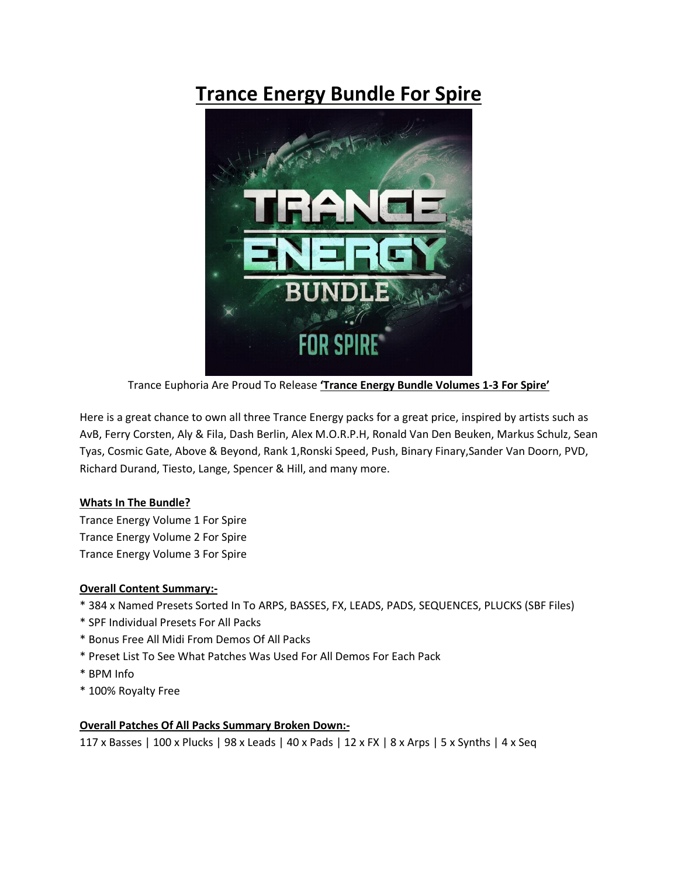# **Trance Energy Bundle For Spire**



Trance Euphoria Are Proud To Release **'Trance Energy Bundle Volumes 1-3 For Spire'**

Here is a great chance to own all three Trance Energy packs for a great price, inspired by artists such as AvB, Ferry Corsten, Aly & Fila, Dash Berlin, Alex M.O.R.P.H, Ronald Van Den Beuken, Markus Schulz, Sean Tyas, Cosmic Gate, Above & Beyond, Rank 1,Ronski Speed, Push, Binary Finary,Sander Van Doorn, PVD, Richard Durand, Tiesto, Lange, Spencer & Hill, and many more.

## **Whats In The Bundle?**

Trance Energy Volume 1 For Spire Trance Energy Volume 2 For Spire Trance Energy Volume 3 For Spire

## **Overall Content Summary:-**

- \* 384 x Named Presets Sorted In To ARPS, BASSES, FX, LEADS, PADS, SEQUENCES, PLUCKS (SBF Files)
- \* SPF Individual Presets For All Packs
- \* Bonus Free All Midi From Demos Of All Packs
- \* Preset List To See What Patches Was Used For All Demos For Each Pack
- \* BPM Info
- \* 100% Royalty Free

## **Overall Patches Of All Packs Summary Broken Down:-**

117 x Basses | 100 x Plucks | 98 x Leads | 40 x Pads | 12 x FX | 8 x Arps | 5 x Synths | 4 x Seq